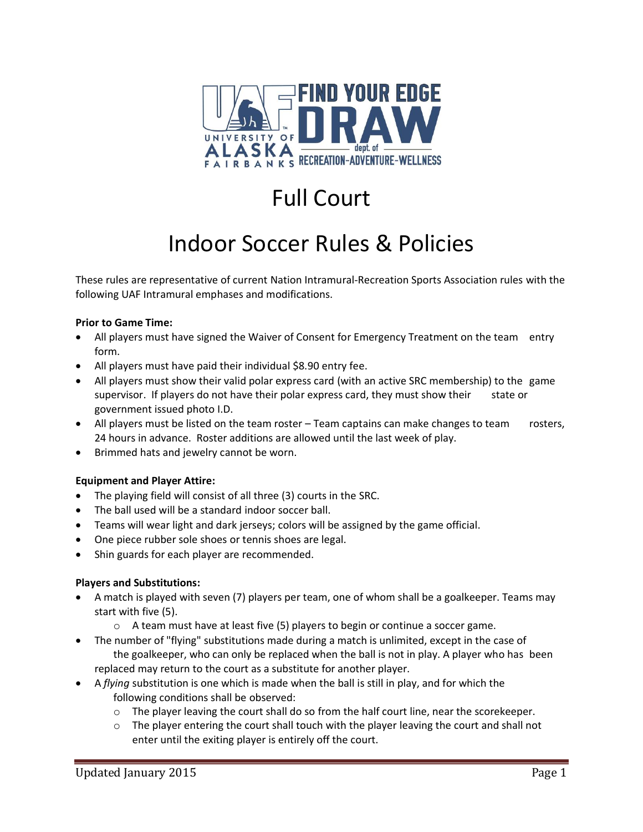

# Full Court

## Indoor Soccer Rules & Policies

These rules are representative of current Nation Intramural-Recreation Sports Association rules with the following UAF Intramural emphases and modifications.

#### **Prior to Game Time:**

- All players must have signed the Waiver of Consent for Emergency Treatment on the team entry form.
- All players must have paid their individual \$8.90 entry fee.
- All players must show their valid polar express card (with an active SRC membership) to the game supervisor. If players do not have their polar express card, they must show their state or government issued photo I.D.
- All players must be listed on the team roster Team captains can make changes to team rosters, 24 hours in advance. Roster additions are allowed until the last week of play.
- Brimmed hats and jewelry cannot be worn.

## **Equipment and Player Attire:**

- The playing field will consist of all three (3) courts in the SRC.
- The ball used will be a standard indoor soccer ball.
- Teams will wear light and dark jerseys; colors will be assigned by the game official.
- One piece rubber sole shoes or tennis shoes are legal.
- Shin guards for each player are recommended.

#### **Players and Substitutions:**

- A match is played with seven (7) players per team, one of whom shall be a goalkeeper. Teams may start with five (5).
	- $\circ$  A team must have at least five (5) players to begin or continue a soccer game.
- The number of "flying" substitutions made during a match is unlimited, except in the case of the goalkeeper, who can only be replaced when the ball is not in play. A player who has been replaced may return to the court as a substitute for another player.
- A *flying* substitution is one which is made when the ball is still in play, and for which the following conditions shall be observed:
	- $\circ$  The player leaving the court shall do so from the half court line, near the scorekeeper.
	- $\circ$  The player entering the court shall touch with the player leaving the court and shall not enter until the exiting player is entirely off the court.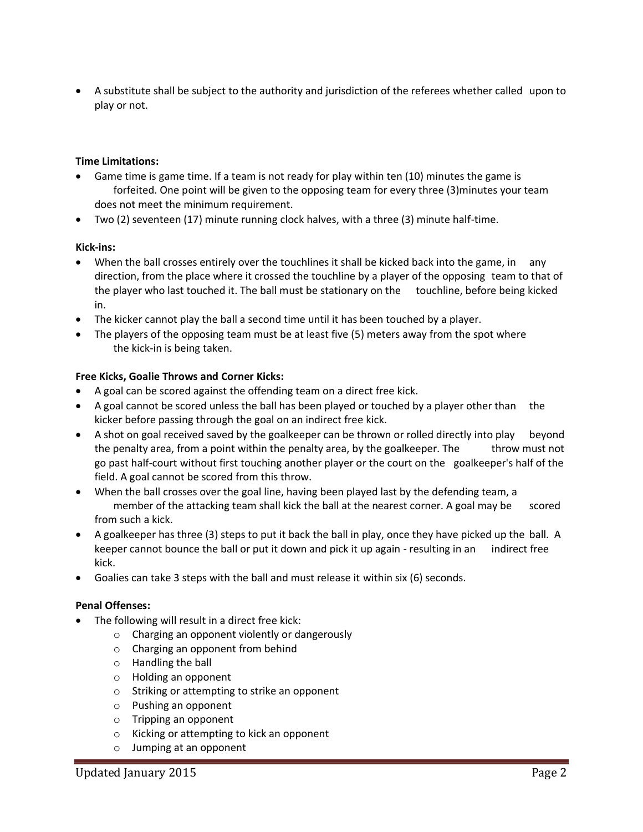• A substitute shall be subject to the authority and jurisdiction of the referees whether called upon to play or not.

#### **Time Limitations:**

- Game time is game time. If a team is not ready for play within ten (10) minutes the game is forfeited. One point will be given to the opposing team for every three (3)minutes your team does not meet the minimum requirement.
- Two (2) seventeen (17) minute running clock halves, with a three (3) minute half-time.

#### **Kick-ins:**

- When the ball crosses entirely over the touchlines it shall be kicked back into the game, in any direction, from the place where it crossed the touchline by a player of the opposing team to that of the player who last touched it. The ball must be stationary on the touchline, before being kicked in.
- The kicker cannot play the ball a second time until it has been touched by a player.
- The players of the opposing team must be at least five (5) meters away from the spot where the kick-in is being taken.

#### **Free Kicks, Goalie Throws and Corner Kicks:**

- A goal can be scored against the offending team on a direct free kick.
- A goal cannot be scored unless the ball has been played or touched by a player other than the kicker before passing through the goal on an indirect free kick.
- A shot on goal received saved by the goalkeeper can be thrown or rolled directly into play beyond the penalty area, from a point within the penalty area, by the goalkeeper. The throw must not go past half-court without first touching another player or the court on the goalkeeper's half of the field. A goal cannot be scored from this throw.
- When the ball crosses over the goal line, having been played last by the defending team, a member of the attacking team shall kick the ball at the nearest corner. A goal may be scored from such a kick.
- A goalkeeper has three (3) steps to put it back the ball in play, once they have picked up the ball. A keeper cannot bounce the ball or put it down and pick it up again - resulting in an indirect free kick.
- Goalies can take 3 steps with the ball and must release it within six (6) seconds.

#### **Penal Offenses:**

- The following will result in a direct free kick:
	- o Charging an opponent violently or dangerously
	- o Charging an opponent from behind
	- o Handling the ball
	- o Holding an opponent
	- o Striking or attempting to strike an opponent
	- o Pushing an opponent
	- o Tripping an opponent
	- o Kicking or attempting to kick an opponent
	- o Jumping at an opponent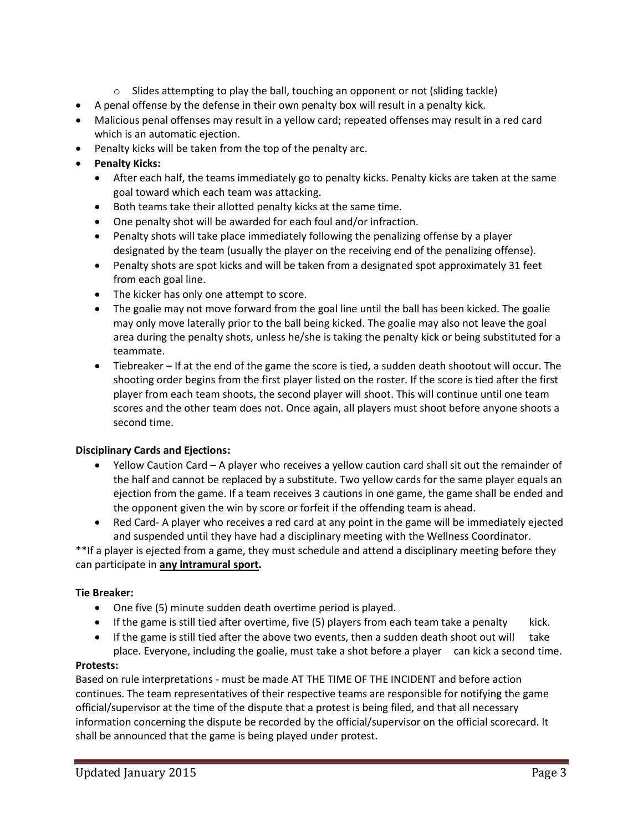- $\circ$  Slides attempting to play the ball, touching an opponent or not (sliding tackle)
- A penal offense by the defense in their own penalty box will result in a penalty kick.
- Malicious penal offenses may result in a yellow card; repeated offenses may result in a red card which is an automatic ejection.
- Penalty kicks will be taken from the top of the penalty arc.
- **Penalty Kicks:**
	- After each half, the teams immediately go to penalty kicks. Penalty kicks are taken at the same goal toward which each team was attacking.
	- Both teams take their allotted penalty kicks at the same time.
	- One penalty shot will be awarded for each foul and/or infraction.
	- Penalty shots will take place immediately following the penalizing offense by a player designated by the team (usually the player on the receiving end of the penalizing offense).
	- Penalty shots are spot kicks and will be taken from a designated spot approximately 31 feet from each goal line.
	- The kicker has only one attempt to score.
	- The goalie may not move forward from the goal line until the ball has been kicked. The goalie may only move laterally prior to the ball being kicked. The goalie may also not leave the goal area during the penalty shots, unless he/she is taking the penalty kick or being substituted for a teammate.
	- Tiebreaker If at the end of the game the score is tied, a sudden death shootout will occur. The shooting order begins from the first player listed on the roster. If the score is tied after the first player from each team shoots, the second player will shoot. This will continue until one team scores and the other team does not. Once again, all players must shoot before anyone shoots a second time.

## **Disciplinary Cards and Ejections:**

- Yellow Caution Card A player who receives a yellow caution card shall sit out the remainder of the half and cannot be replaced by a substitute. Two yellow cards for the same player equals an ejection from the game. If a team receives 3 cautions in one game, the game shall be ended and the opponent given the win by score or forfeit if the offending team is ahead.
- Red Card- A player who receives a red card at any point in the game will be immediately ejected and suspended until they have had a disciplinary meeting with the Wellness Coordinator.

\*\*If a player is ejected from a game, they must schedule and attend a disciplinary meeting before they can participate in **any intramural sport.**

## **Tie Breaker:**

- One five (5) minute sudden death overtime period is played.
- If the game is still tied after overtime, five (5) players from each team take a penalty kick.
- If the game is still tied after the above two events, then a sudden death shoot out will take place. Everyone, including the goalie, must take a shot before a player can kick a second time.

## **Protests:**

Based on rule interpretations - must be made AT THE TIME OF THE INCIDENT and before action continues. The team representatives of their respective teams are responsible for notifying the game official/supervisor at the time of the dispute that a protest is being filed, and that all necessary information concerning the dispute be recorded by the official/supervisor on the official scorecard. It shall be announced that the game is being played under protest.